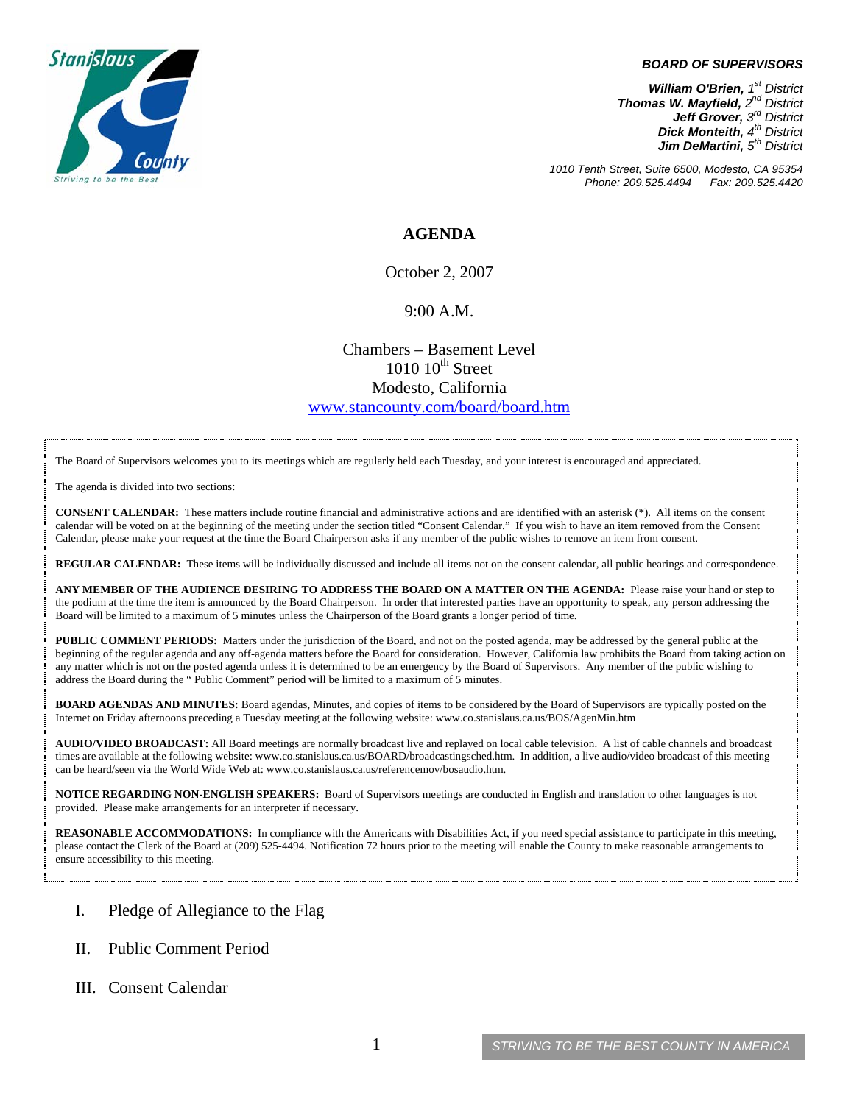

#### *BOARD OF SUPERVISORS*

*William O'Brien, 1st District Thomas W. Mayfield, 2nd District Jeff Grover, 3rd District Dick Monteith, 4th District Jim DeMartini, 5th District*

*1010 Tenth Street, Suite 6500, Modesto, CA 95354 Phone: 209.525.4494 Fax: 209.525.4420* 

### **AGENDA**

October 2, 2007

#### 9:00 A.M.

Chambers – Basement Level  $1010~10$ <sup>th</sup> Street Modesto, California [www.stancounty.com/board/board.htm](http://www.stancounty.com/board/board.htm)

The Board of Supervisors welcomes you to its meetings which are regularly held each Tuesday, and your interest is encouraged and appreciated.

The agenda is divided into two sections:

**CONSENT CALENDAR:** These matters include routine financial and administrative actions and are identified with an asterisk (\*). All items on the consent calendar will be voted on at the beginning of the meeting under the section titled "Consent Calendar." If you wish to have an item removed from the Consent Calendar, please make your request at the time the Board Chairperson asks if any member of the public wishes to remove an item from consent.

**REGULAR CALENDAR:** These items will be individually discussed and include all items not on the consent calendar, all public hearings and correspondence.

**ANY MEMBER OF THE AUDIENCE DESIRING TO ADDRESS THE BOARD ON A MATTER ON THE AGENDA:** Please raise your hand or step to the podium at the time the item is announced by the Board Chairperson. In order that interested parties have an opportunity to speak, any person addressing the Board will be limited to a maximum of 5 minutes unless the Chairperson of the Board grants a longer period of time.

**PUBLIC COMMENT PERIODS:** Matters under the jurisdiction of the Board, and not on the posted agenda, may be addressed by the general public at the beginning of the regular agenda and any off-agenda matters before the Board for consideration. However, California law prohibits the Board from taking action on any matter which is not on the posted agenda unless it is determined to be an emergency by the Board of Supervisors. Any member of the public wishing to address the Board during the " Public Comment" period will be limited to a maximum of 5 minutes.

**BOARD AGENDAS AND MINUTES:** Board agendas, Minutes, and copies of items to be considered by the Board of Supervisors are typically posted on the Internet on Friday afternoons preceding a Tuesday meeting at the following website: [www.co.stanislaus.ca.us/BOS/AgenMin.htm](http://www.co.stanislaus.ca.us/BOS/AgenMin.htm) 

**AUDIO/VIDEO BROADCAST:** All Board meetings are normally broadcast live and replayed on local cable television. A list of cable channels and broadcast times are available at the following website: [www.co.stanislaus.ca.us/BOARD/broadcastingsched.htm](http://www.co.stanislaus.ca.us/BOARD/broadcastingsched.htm). In addition, a live audio/video broadcast of this meeting can be heard/seen via the World Wide Web at: [www.co.stanislaus.ca.us/referencemov/bosaudio.htm.](http://www.co.stanislaus.ca.us/referencemov/bosaudio.htm)

**NOTICE REGARDING NON-ENGLISH SPEAKERS:** Board of Supervisors meetings are conducted in English and translation to other languages is not provided. Please make arrangements for an interpreter if necessary.

**REASONABLE ACCOMMODATIONS:** In compliance with the Americans with Disabilities Act, if you need special assistance to participate in this meeting, please contact the Clerk of the Board at (209) 525-4494. Notification 72 hours prior to the meeting will enable the County to make reasonable arrangements to ensure accessibility to this meeting.

- I. Pledge of Allegiance to the Flag
- II. Public Comment Period
- III. Consent Calendar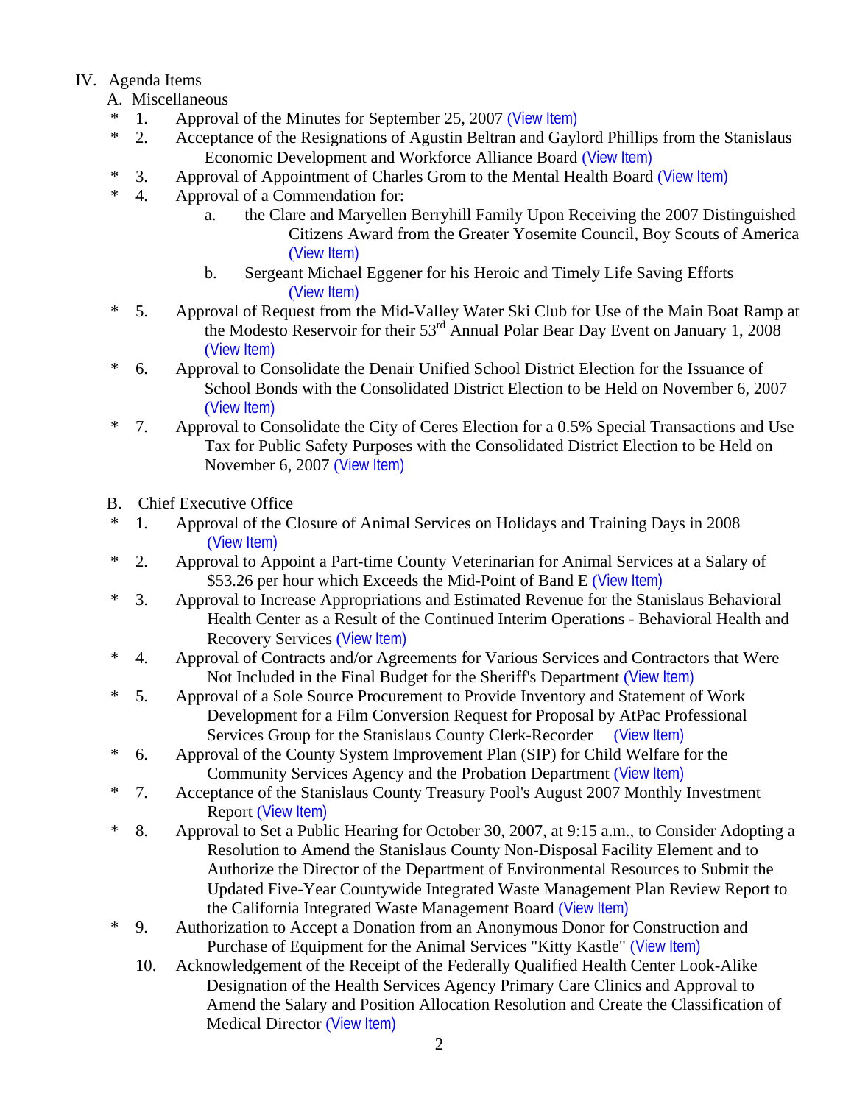# IV. Agenda Items

- A. Miscellaneous
- \* 1. Approval of the Minutes for September 25, 2007 ([View Item\)](http://www.co.stanislaus.ca.us/bos/minutes/2007/min09-25-07.pdf)
- \* 2. Acceptance of the Resignations of Agustin Beltran and Gaylord Phillips from the Stanislaus Economic Development and Workforce Alliance Board ([View Item\)](http://www.co.stanislaus.ca.us/bos/agenda/2007/20071002/A02.pdf)
- <sup>\*</sup> 3. Approval of Appointment of Charles Grom to the Mental Health Board ([View Item\)](http://www.co.stanislaus.ca.us/bos/agenda/2007/20071002/A03.pdf)<br> $*$  4 Approval of a Commendation for:
- 4. Approval of a Commendation for:
	- a. the Clare and Maryellen Berryhill Family Upon Receiving the 2007 Distinguished Citizens Award from the Greater Yosemite Council, Boy Scouts of America ([View Item\)](http://www.co.stanislaus.ca.us/bos/agenda/2007/20071002/A04a.pdf)
	- b. Sergeant Michael Eggener for his Heroic and Timely Life Saving Efforts ([View Item\)](http://www.co.stanislaus.ca.us/bos/agenda/2007/20071002/A04b.pdf)
- \* 5. Approval of Request from the Mid-Valley Water Ski Club for Use of the Main Boat Ramp at the Modesto Reservoir for their  $53<sup>rd</sup>$  Annual Polar Bear Day Event on January 1, 2008 ([View Item\)](http://www.co.stanislaus.ca.us/bos/agenda/2007/20071002/A05.pdf)
- \* 6. Approval to Consolidate the Denair Unified School District Election for the Issuance of School Bonds with the Consolidated District Election to be Held on November 6, 2007 ([View Item\)](http://www.co.stanislaus.ca.us/bos/agenda/2007/20071002/A06.pdf)
- \* 7. Approval to Consolidate the City of Ceres Election for a 0.5% Special Transactions and Use Tax for Public Safety Purposes with the Consolidated District Election to be Held on November 6, 2007 ([View Item\)](http://www.co.stanislaus.ca.us/bos/agenda/2007/20071002/A07.pdf)
- B. Chief Executive Office
- \* 1. Approval of the Closure of Animal Services on Holidays and Training Days in 2008 ([View Item\)](http://www.co.stanislaus.ca.us/bos/agenda/2007/20071002/B01.pdf)
- \* 2. Approval to Appoint a Part-time County Veterinarian for Animal Services at a Salary of \$53.26 per hour which Exceeds the Mid-Point of Band E ([View Item\)](http://www.co.stanislaus.ca.us/bos/agenda/2007/20071002/B02.pdf)
- \* 3. Approval to Increase Appropriations and Estimated Revenue for the Stanislaus Behavioral Health Center as a Result of the Continued Interim Operations - Behavioral Health and Recovery Services ([View Item\)](http://www.co.stanislaus.ca.us/bos/agenda/2007/20071002/B03.pdf)
- \* 4. Approval of Contracts and/or Agreements for Various Services and Contractors that Were Not Included in the Final Budget for the Sheriff's Department ([View Item\)](http://www.co.stanislaus.ca.us/bos/agenda/2007/20071002/B04.pdf)
- \* 5. Approval of a Sole Source Procurement to Provide Inventory and Statement of Work Development for a Film Conversion Request for Proposal by AtPac Professional Services Group for the Stanislaus County Clerk-Recorder ([View Item\)](http://www.co.stanislaus.ca.us/bos/agenda/2007/20071002/B05.pdf)
- \* 6. Approval of the County System Improvement Plan (SIP) for Child Welfare for the Community Services Agency and the Probation Department ([View Item\)](http://www.co.stanislaus.ca.us/bos/agenda/2007/20071002/B06.pdf)
- \* 7. Acceptance of the Stanislaus County Treasury Pool's August 2007 Monthly Investment Report ([View Item\)](http://www.co.stanislaus.ca.us/bos/agenda/2007/20071002/B07.pdf)
- \* 8. Approval to Set a Public Hearing for October 30, 2007, at 9:15 a.m., to Consider Adopting a Resolution to Amend the Stanislaus County Non-Disposal Facility Element and to Authorize the Director of the Department of Environmental Resources to Submit the Updated Five-Year Countywide Integrated Waste Management Plan Review Report to the California Integrated Waste Management Board ([View Item\)](http://www.co.stanislaus.ca.us/bos/agenda/2007/20071002/B08.pdf)
- \* 9. Authorization to Accept a Donation from an Anonymous Donor for Construction and Purchase of Equipment for the Animal Services "Kitty Kastle" ([View Item\)](http://www.co.stanislaus.ca.us/bos/agenda/2007/20071002/B09.pdf)
	- 10. Acknowledgement of the Receipt of the Federally Qualified Health Center Look-Alike Designation of the Health Services Agency Primary Care Clinics and Approval to Amend the Salary and Position Allocation Resolution and Create the Classification of Medical Director ([View Item\)](http://www.co.stanislaus.ca.us/bos/agenda/2007/20071002/B10.pdf)